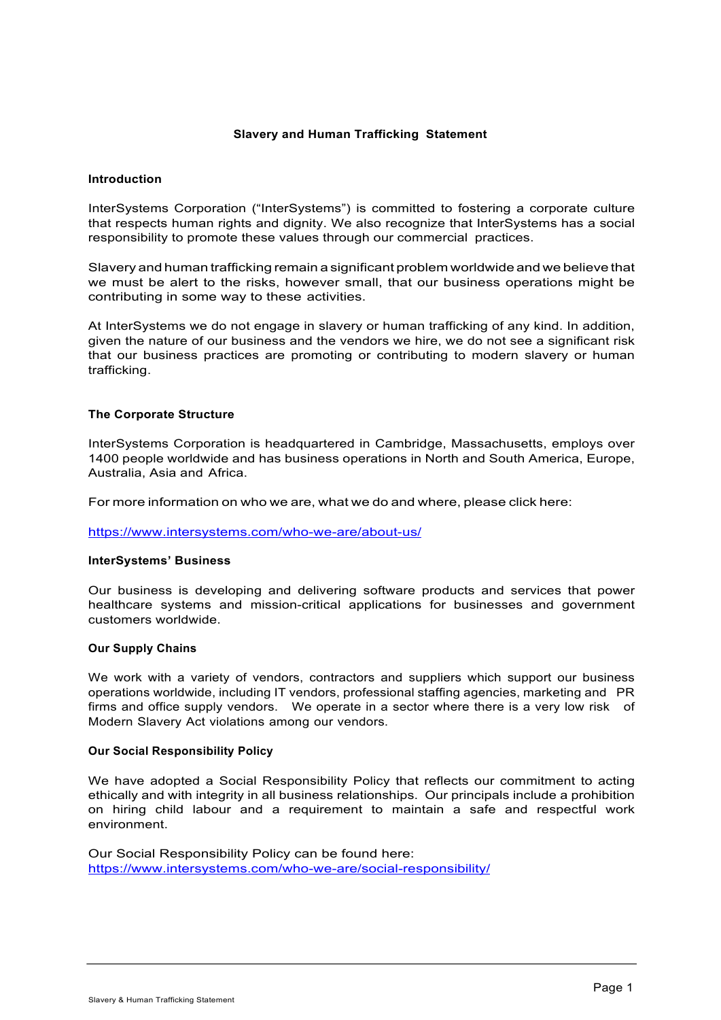# **Slavery and Human Trafficking Statement**

#### **Introduction**

InterSystems Corporation ("InterSystems") is committed to fostering a corporate culture that respects human rights and dignity. We also recognize that InterSystems has a social responsibility to promote these values through our commercial practices.

Slavery and human trafficking remain a significant problem worldwide and we believe that we must be alert to the risks, however small, that our business operations might be contributing in some way to these activities.

At InterSystems we do not engage in slavery or human trafficking of any kind. In addition, given the nature of our business and the vendors we hire, we do not see a significant risk that our business practices are promoting or contributing to modern slavery or human trafficking.

### **The Corporate Structure**

InterSystems Corporation is headquartered in Cambridge, Massachusetts, employs over 1400 people worldwide and has business operations in North and South America, Europe, Australia, Asia and Africa.

For more information on who we are, what we do and where, please click here:

https://www.intersystems.com/who-we-are/about-us/

#### **InterSystems' Business**

Our business is developing and delivering software products and services that power healthcare systems and mission-critical applications for businesses and government customers worldwide.

#### **Our Supply Chains**

We work with a variety of vendors, contractors and suppliers which support our business operations worldwide, including IT vendors, professional staffing agencies, marketing and PR firms and office supply vendors. We operate in a sector where there is a very low risk of Modern Slavery Act violations among our vendors.

#### **Our Social Responsibility Policy**

We have adopted a Social Responsibility Policy that reflects our commitment to acting ethically and with integrity in all business relationships. Our principals include a prohibition on hiring child labour and a requirement to maintain a safe and respectful work environment.

Our Social Responsibility Policy can be found here: https://www.intersystems.com/who-we-are/social-responsibility/